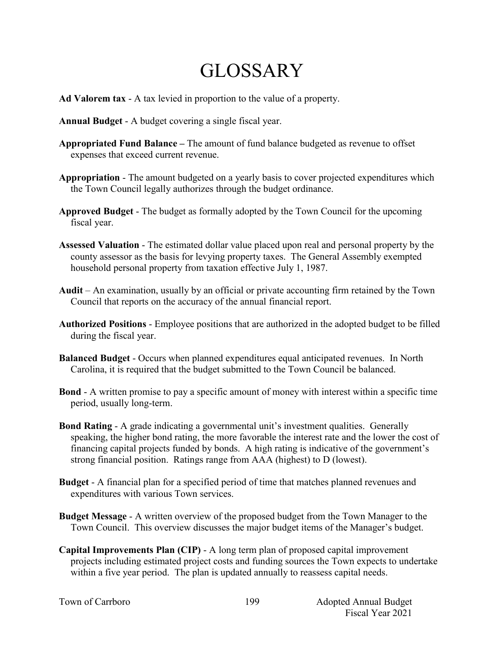## GLOSSARY

- **Ad Valorem tax** A tax levied in proportion to the value of a property.
- **Annual Budget** A budget covering a single fiscal year.
- **Appropriated Fund Balance –** The amount of fund balance budgeted as revenue to offset expenses that exceed current revenue.
- **Appropriation** The amount budgeted on a yearly basis to cover projected expenditures which the Town Council legally authorizes through the budget ordinance.
- **Approved Budget** The budget as formally adopted by the Town Council for the upcoming fiscal year.
- **Assessed Valuation** The estimated dollar value placed upon real and personal property by the county assessor as the basis for levying property taxes. The General Assembly exempted household personal property from taxation effective July 1, 1987.
- **Audit** An examination, usually by an official or private accounting firm retained by the Town Council that reports on the accuracy of the annual financial report.
- **Authorized Positions**  Employee positions that are authorized in the adopted budget to be filled during the fiscal year.
- **Balanced Budget** Occurs when planned expenditures equal anticipated revenues. In North Carolina, it is required that the budget submitted to the Town Council be balanced.
- **Bond** A written promise to pay a specific amount of money with interest within a specific time period, usually long-term.
- **Bond Rating** A grade indicating a governmental unit's investment qualities. Generally speaking, the higher bond rating, the more favorable the interest rate and the lower the cost of financing capital projects funded by bonds. A high rating is indicative of the government's strong financial position. Ratings range from AAA (highest) to D (lowest).
- **Budget**  A financial plan for a specified period of time that matches planned revenues and expenditures with various Town services.
- **Budget Message** A written overview of the proposed budget from the Town Manager to the Town Council. This overview discusses the major budget items of the Manager's budget.
- **Capital Improvements Plan (CIP)** A long term plan of proposed capital improvement projects including estimated project costs and funding sources the Town expects to undertake within a five year period. The plan is updated annually to reassess capital needs.

199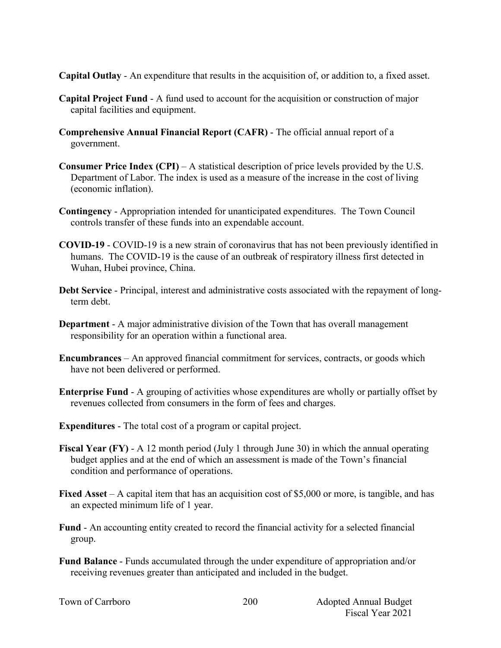**Capital Outlay** - An expenditure that results in the acquisition of, or addition to, a fixed asset.

- **Capital Project Fund** A fund used to account for the acquisition or construction of major capital facilities and equipment.
- **Comprehensive Annual Financial Report (CAFR)** The official annual report of a government.
- **Consumer Price Index (CPI)** A statistical description of price levels provided by the U.S. Department of Labor. The index is used as a measure of the increase in the cost of living (economic inflation).
- **Contingency**  Appropriation intended for unanticipated expenditures. The Town Council controls transfer of these funds into an expendable account.
- **COVID-19** COVID-19 is a new strain of coronavirus that has not been previously identified in humans. The COVID-19 is the cause of an outbreak of respiratory illness first detected in Wuhan, Hubei province, China.
- **Debt Service** Principal, interest and administrative costs associated with the repayment of longterm debt.
- **Department**  A major administrative division of the Town that has overall management responsibility for an operation within a functional area.
- **Encumbrances**  An approved financial commitment for services, contracts, or goods which have not been delivered or performed.
- **Enterprise Fund** A grouping of activities whose expenditures are wholly or partially offset by revenues collected from consumers in the form of fees and charges.
- **Expenditures** The total cost of a program or capital project.
- **Fiscal Year (FY)** A 12 month period (July 1 through June 30) in which the annual operating budget applies and at the end of which an assessment is made of the Town's financial condition and performance of operations.
- **Fixed Asset** A capital item that has an acquisition cost of \$5,000 or more, is tangible, and has an expected minimum life of 1 year.
- **Fund** An accounting entity created to record the financial activity for a selected financial group.
- **Fund Balance** Funds accumulated through the under expenditure of appropriation and/or receiving revenues greater than anticipated and included in the budget.

200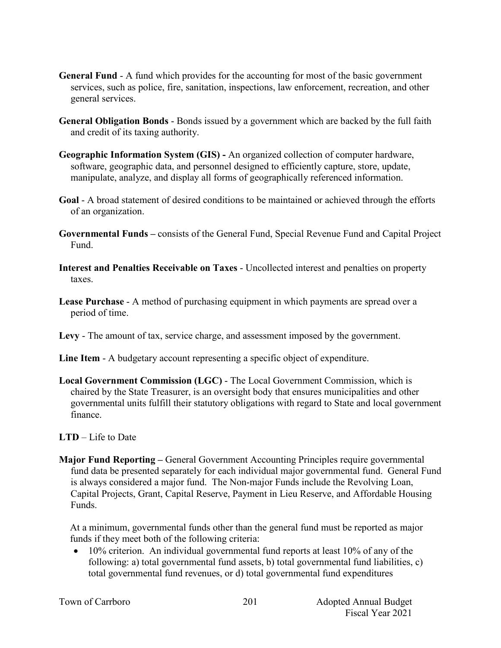- **General Fund** A fund which provides for the accounting for most of the basic government services, such as police, fire, sanitation, inspections, law enforcement, recreation, and other general services.
- **General Obligation Bonds** Bonds issued by a government which are backed by the full faith and credit of its taxing authority.
- **Geographic Information System (GIS) -** An organized collection of computer hardware, software, geographic data, and personnel designed to efficiently capture, store, update, manipulate, analyze, and display all forms of geographically referenced information.
- **Goal** A broad statement of desired conditions to be maintained or achieved through the efforts of an organization.
- **Governmental Funds –** consists of the General Fund, Special Revenue Fund and Capital Project Fund.
- **Interest and Penalties Receivable on Taxes** Uncollected interest and penalties on property taxes.
- **Lease Purchase** A method of purchasing equipment in which payments are spread over a period of time.
- **Levy**  The amount of tax, service charge, and assessment imposed by the government.
- **Line Item** A budgetary account representing a specific object of expenditure.
- **Local Government Commission (LGC)**  The Local Government Commission, which is chaired by the State Treasurer, is an oversight body that ensures municipalities and other governmental units fulfill their statutory obligations with regard to State and local government finance.
- **LTD**  Life to Date
- **Major Fund Reporting –** General Government Accounting Principles require governmental fund data be presented separately for each individual major governmental fund. General Fund is always considered a major fund. The Non-major Funds include the Revolving Loan, Capital Projects, Grant, Capital Reserve, Payment in Lieu Reserve, and Affordable Housing Funds.

At a minimum, governmental funds other than the general fund must be reported as major funds if they meet both of the following criteria:

• 10% criterion. An individual governmental fund reports at least 10% of any of the following: a) total governmental fund assets, b) total governmental fund liabilities, c) total governmental fund revenues, or d) total governmental fund expenditures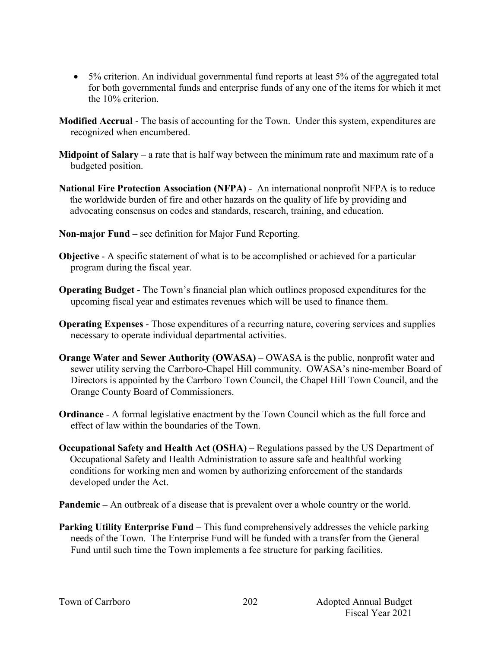- 5% criterion. An individual governmental fund reports at least 5% of the aggregated total for both governmental funds and enterprise funds of any one of the items for which it met the 10% criterion.
- **Modified Accrual** The basis of accounting for the Town. Under this system, expenditures are recognized when encumbered.
- **Midpoint of Salary** a rate that is half way between the minimum rate and maximum rate of a budgeted position.
- **National Fire Protection Association (NFPA)**  An international nonprofit NFPA is to reduce the worldwide burden of fire and other hazards on the quality of life by providing and advocating consensus on codes and standards, research, training, and education.
- **Non-major Fund –** see definition for Major Fund Reporting.
- **Objective** A specific statement of what is to be accomplished or achieved for a particular program during the fiscal year.
- **Operating Budget** The Town's financial plan which outlines proposed expenditures for the upcoming fiscal year and estimates revenues which will be used to finance them.
- **Operating Expenses** Those expenditures of a recurring nature, covering services and supplies necessary to operate individual departmental activities.
- **Orange Water and Sewer Authority (OWASA)** OWASA is the public, nonprofit water and sewer utility serving the Carrboro-Chapel Hill community. OWASA's nine-member Board of Directors is appointed by the Carrboro Town Council, the Chapel Hill Town Council, and the Orange County Board of Commissioners.
- **Ordinance** A formal legislative enactment by the Town Council which as the full force and effect of law within the boundaries of the Town.
- **Occupational Safety and Health Act (OSHA)** Regulations passed by the US Department of Occupational Safety and Health Administration to assure safe and healthful working conditions for working men and women by authorizing enforcement of the standards developed under the Act.
- **Pandemic** An outbreak of a disease that is prevalent over a whole country or the world.
- **Parking Utility Enterprise Fund** This fund comprehensively addresses the vehicle parking needs of the Town. The Enterprise Fund will be funded with a transfer from the General Fund until such time the Town implements a fee structure for parking facilities.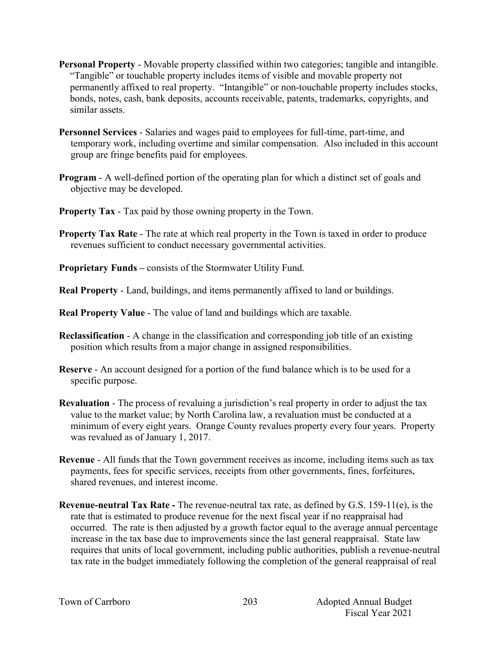- **Personal Property** Movable property classified within two categories; tangible and intangible. "Tangible" or touchable property includes items of visible and movable property not permanently affixed to real property. "Intangible" or non-touchable property includes stocks, bonds, notes, cash, bank deposits, accounts receivable, patents, trademarks, copyrights, and similar assets.
- **Personnel Services** Salaries and wages paid to employees for full-time, part-time, and temporary work, including overtime and similar compensation. Also included in this account group are fringe benefits paid for employees.
- **Program** A well-defined portion of the operating plan for which a distinct set of goals and objective may be developed.
- **Property Tax** Tax paid by those owning property in the Town.
- **Property Tax Rate** The rate at which real property in the Town is taxed in order to produce revenues sufficient to conduct necessary governmental activities.
- **Proprietary Funds –** consists of the Stormwater Utility Fund.
- **Real Property** Land, buildings, and items permanently affixed to land or buildings.
- **Real Property Value** The value of land and buildings which are taxable.
- **Reclassification** A change in the classification and corresponding job title of an existing position which results from a major change in assigned responsibilities.
- **Reserve** An account designed for a portion of the fund balance which is to be used for a specific purpose.
- **Revaluation**  The process of revaluing a jurisdiction's real property in order to adjust the tax value to the market value; by North Carolina law, a revaluation must be conducted at a minimum of every eight years. Orange County revalues property every four years. Property was revalued as of January 1, 2017.
- **Revenue**  All funds that the Town government receives as income, including items such as tax payments, fees for specific services, receipts from other governments, fines, forfeitures, shared revenues, and interest income.
- **Revenue-neutral Tax Rate -** The revenue-neutral tax rate, as defined by G.S. 159-11(e), is the rate that is estimated to produce revenue for the next fiscal year if no reappraisal had occurred. The rate is then adjusted by a growth factor equal to the average annual percentage increase in the tax base due to improvements since the last general reappraisal. State law requires that units of local government, including public authorities, publish a revenue-neutral tax rate in the budget immediately following the completion of the general reappraisal of real